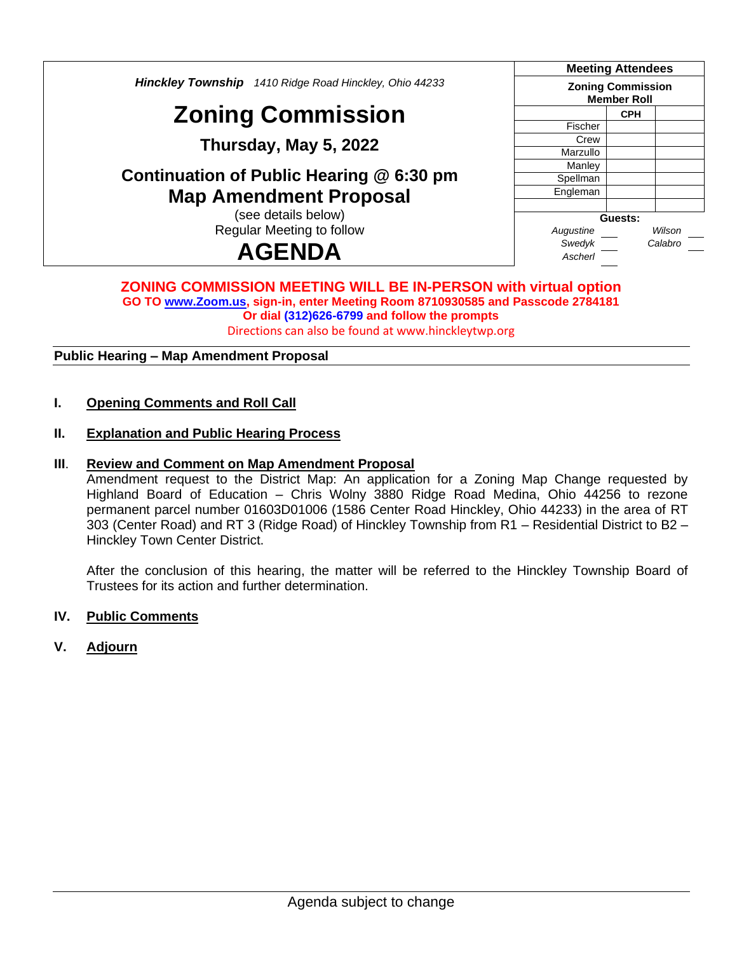*Hinckley Township 1410 Ridge Road Hinckley, Ohio 44233* **Zoning Commission Thursday, May 5, 2022 Continuation of Public Hearing @ 6:30 pm Map Amendment Proposal** (see details below) Regular Meeting to follow **AGENDA Meeting Attendees Zoning Commission Member Roll CPH** Fischer **Crew Marzullo Manley Spellman Engleman Guests:** *Augustine Wilson Swedyk Calabro Ascherl*

#### **ZONING COMMISSION MEETING WILL BE IN-PERSON with virtual option GO TO [www.Zoom.us,](http://www.zoom.us/) sign-in, enter Meeting Room 8710930585 and Passcode 2784181 Or dial (312)626-6799 and follow the prompts** Directions can also be found at www.hinckleytwp.org

**Public Hearing – Map Amendment Proposal**

**I. Opening Comments and Roll Call**

#### **II. Explanation and Public Hearing Process**

#### **III**. **Review and Comment on Map Amendment Proposal**

Amendment request to the District Map: An application for a Zoning Map Change requested by Highland Board of Education – Chris Wolny 3880 Ridge Road Medina, Ohio 44256 to rezone permanent parcel number 01603D01006 (1586 Center Road Hinckley, Ohio 44233) in the area of RT 303 (Center Road) and RT 3 (Ridge Road) of Hinckley Township from R1 – Residential District to B2 – Hinckley Town Center District.

After the conclusion of this hearing, the matter will be referred to the Hinckley Township Board of Trustees for its action and further determination.

#### **IV. Public Comments**

#### **V. Adjourn**